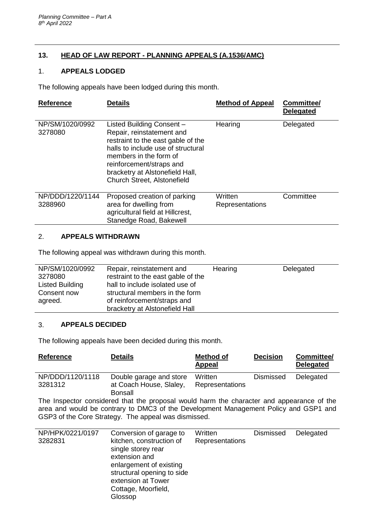# **13. HEAD OF LAW REPORT - PLANNING APPEALS (A.1536/AMC)**

### 1. **APPEALS LODGED**

The following appeals have been lodged during this month.

| <b>Reference</b>            | <b>Details</b>                                                                                                                                                                                                                                             | <b>Method of Appeal</b>    | <b>Committee/</b><br><b>Delegated</b> |
|-----------------------------|------------------------------------------------------------------------------------------------------------------------------------------------------------------------------------------------------------------------------------------------------------|----------------------------|---------------------------------------|
| NP/SM/1020/0992<br>3278080  | Listed Building Consent -<br>Repair, reinstatement and<br>restraint to the east gable of the<br>halls to include use of structural<br>members in the form of<br>reinforcement/straps and<br>bracketry at Alstonefield Hall,<br>Church Street, Alstonefield | Hearing                    | Delegated                             |
| NP/DDD/1220/1144<br>3288960 | Proposed creation of parking<br>area for dwelling from<br>agricultural field at Hillcrest,<br>Stanedge Road, Bakewell                                                                                                                                      | Written<br>Representations | Committee                             |

### 2. **APPEALS WITHDRAWN**

The following appeal was withdrawn during this month.

### 3. **APPEALS DECIDED**

The following appeals have been decided during this month.

| <b>Reference</b>            | <b>Details</b>                                     | <b>Method of</b><br>Appeal        | <b>Decision</b>  | Committee/<br><b>Delegated</b> |
|-----------------------------|----------------------------------------------------|-----------------------------------|------------------|--------------------------------|
| NP/DDD/1120/1118<br>3281312 | Double garage and store<br>at Coach House, Slaley, | Written<br><b>Representations</b> | <b>Dismissed</b> | Delegated                      |
|                             | Bonsall                                            |                                   |                  |                                |

The Inspector considered that the proposal would harm the character and appearance of the area and would be contrary to DMC3 of the Development Management Policy and GSP1 and GSP3 of the Core Strategy. The appeal was dismissed.

| NP/HPK/0221/0197 | Conversion of garage to                                                                                                                                               | Written         | <b>Dismissed</b> | Delegated |
|------------------|-----------------------------------------------------------------------------------------------------------------------------------------------------------------------|-----------------|------------------|-----------|
| 3282831          | kitchen, construction of<br>single storey rear<br>extension and<br>enlargement of existing<br>structural opening to side<br>extension at Tower<br>Cottage, Moorfield, | Representations |                  |           |
|                  | Glossop                                                                                                                                                               |                 |                  |           |